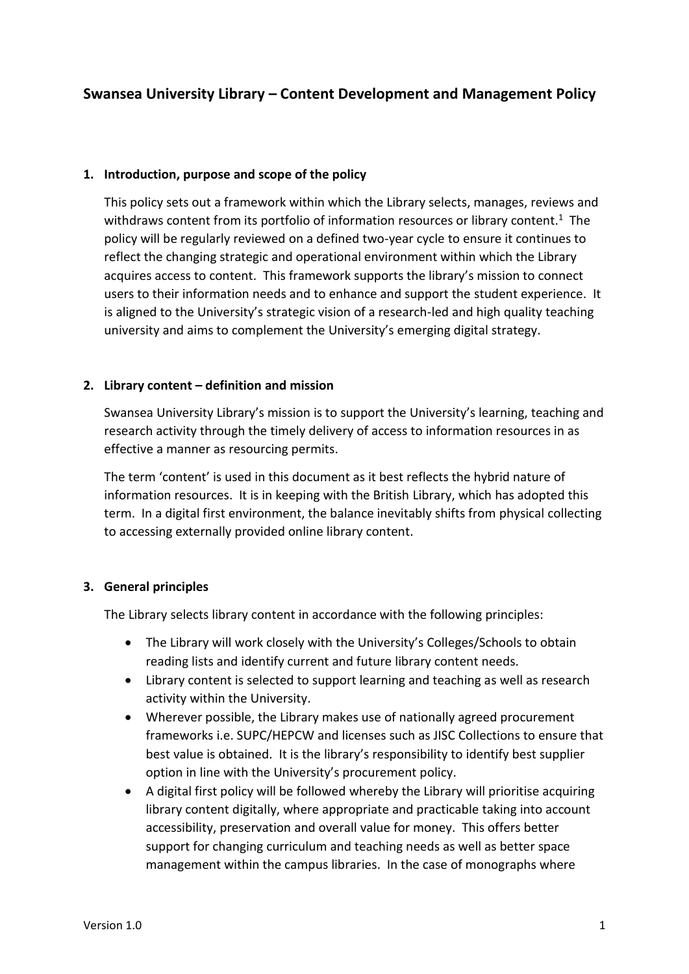# **Swansea University Library – Content Development and Management Policy**

#### **1. Introduction, purpose and scope of the policy**

This policy sets out a framework within which the Library selects, manages, reviews and withdraws content from its portfolio of information resources or library content.<sup>1</sup> The policy will be regularly reviewed on a defined two-year cycle to ensure it continues to reflect the changing strategic and operational environment within which the Library acquires access to content. This framework supports the library's mission to connect users to their information needs and to enhance and support the student experience. It is aligned to the University's strategic vision of a research-led and high quality teaching university and aims to complement the University's emerging digital strategy.

#### **2. Library content – definition and mission**

Swansea University Library's mission is to support the University's learning, teaching and research activity through the timely delivery of access to information resources in as effective a manner as resourcing permits.

The term 'content' is used in this document as it best reflects the hybrid nature of information resources. It is in keeping with the British Library, which has adopted this term. In a digital first environment, the balance inevitably shifts from physical collecting to accessing externally provided online library content.

# **3. General principles**

The Library selects library content in accordance with the following principles:

- The Library will work closely with the University's Colleges/Schools to obtain reading lists and identify current and future library content needs.
- Library content is selected to support learning and teaching as well as research activity within the University.
- Wherever possible, the Library makes use of nationally agreed procurement frameworks i.e. SUPC/HEPCW and licenses such as JISC Collections to ensure that best value is obtained. It is the library's responsibility to identify best supplier option in line with the University's procurement policy.
- A digital first policy will be followed whereby the Library will prioritise acquiring library content digitally, where appropriate and practicable taking into account accessibility, preservation and overall value for money. This offers better support for changing curriculum and teaching needs as well as better space management within the campus libraries. In the case of monographs where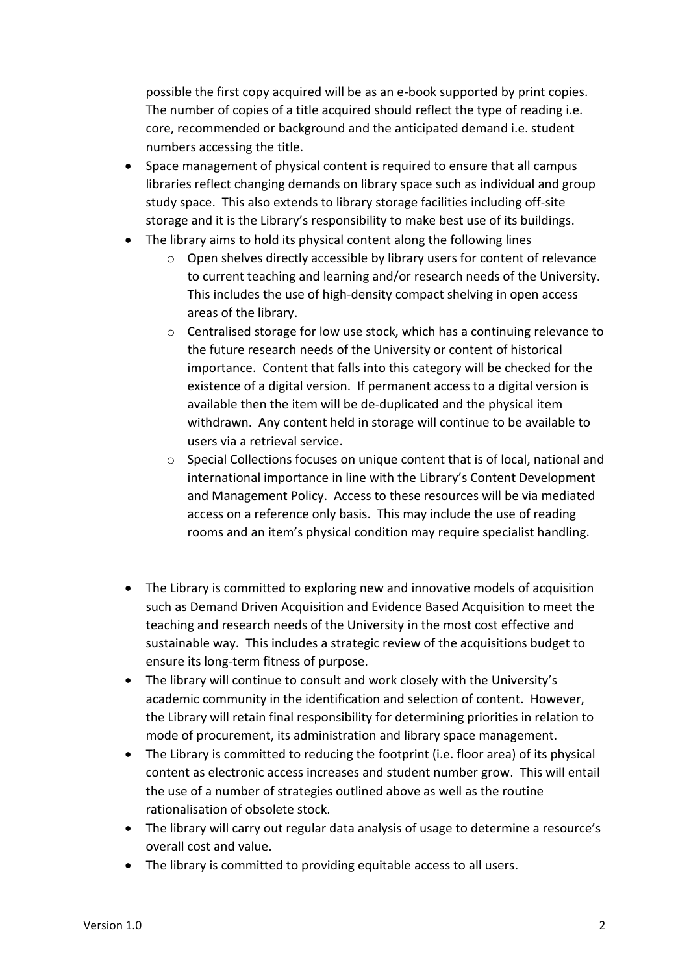possible the first copy acquired will be as an e-book supported by print copies. The number of copies of a title acquired should reflect the type of reading i.e. core, recommended or background and the anticipated demand i.e. student numbers accessing the title.

- Space management of physical content is required to ensure that all campus libraries reflect changing demands on library space such as individual and group study space. This also extends to library storage facilities including off-site storage and it is the Library's responsibility to make best use of its buildings.
- The library aims to hold its physical content along the following lines
	- o Open shelves directly accessible by library users for content of relevance to current teaching and learning and/or research needs of the University. This includes the use of high-density compact shelving in open access areas of the library.
	- $\circ$  Centralised storage for low use stock, which has a continuing relevance to the future research needs of the University or content of historical importance. Content that falls into this category will be checked for the existence of a digital version. If permanent access to a digital version is available then the item will be de-duplicated and the physical item withdrawn. Any content held in storage will continue to be available to users via a retrieval service.
	- o Special Collections focuses on unique content that is of local, national and international importance in line with the Library's Content Development and Management Policy. Access to these resources will be via mediated access on a reference only basis. This may include the use of reading rooms and an item's physical condition may require specialist handling.
- The Library is committed to exploring new and innovative models of acquisition such as Demand Driven Acquisition and Evidence Based Acquisition to meet the teaching and research needs of the University in the most cost effective and sustainable way. This includes a strategic review of the acquisitions budget to ensure its long-term fitness of purpose.
- The library will continue to consult and work closely with the University's academic community in the identification and selection of content. However, the Library will retain final responsibility for determining priorities in relation to mode of procurement, its administration and library space management.
- The Library is committed to reducing the footprint (i.e. floor area) of its physical content as electronic access increases and student number grow. This will entail the use of a number of strategies outlined above as well as the routine rationalisation of obsolete stock.
- The library will carry out regular data analysis of usage to determine a resource's overall cost and value.
- The library is committed to providing equitable access to all users.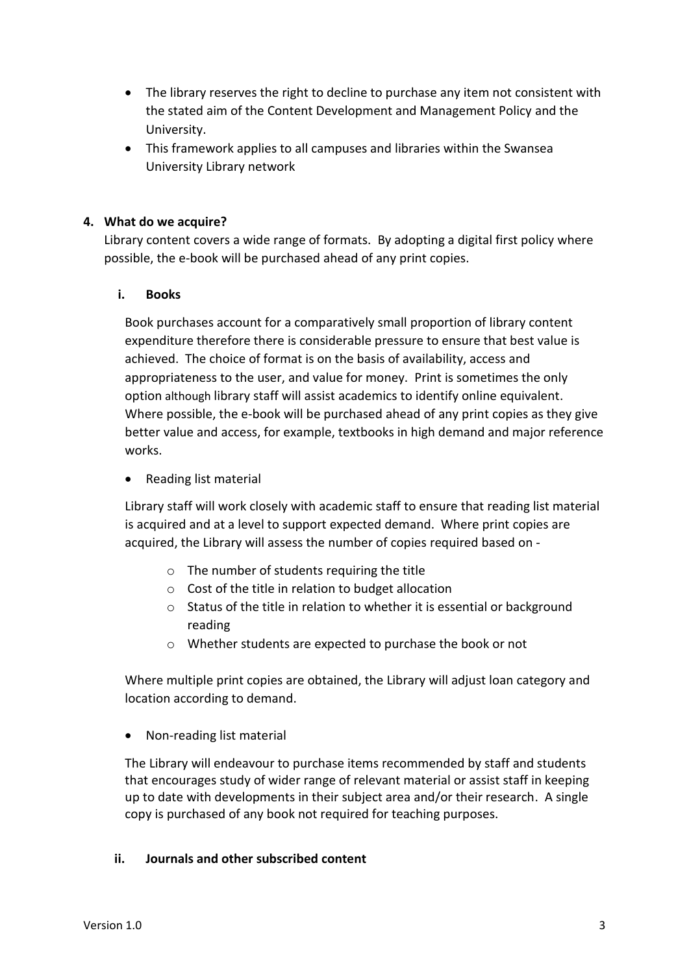- The library reserves the right to decline to purchase any item not consistent with the stated aim of the Content Development and Management Policy and the University.
- This framework applies to all campuses and libraries within the Swansea University Library network

# **4. What do we acquire?**

Library content covers a wide range of formats. By adopting a digital first policy where possible, the e-book will be purchased ahead of any print copies.

# **i. Books**

Book purchases account for a comparatively small proportion of library content expenditure therefore there is considerable pressure to ensure that best value is achieved. The choice of format is on the basis of availability, access and appropriateness to the user, and value for money. Print is sometimes the only option although library staff will assist academics to identify online equivalent. Where possible, the e-book will be purchased ahead of any print copies as they give better value and access, for example, textbooks in high demand and major reference works.

Reading list material

Library staff will work closely with academic staff to ensure that reading list material is acquired and at a level to support expected demand. Where print copies are acquired, the Library will assess the number of copies required based on -

- o The number of students requiring the title
- o Cost of the title in relation to budget allocation
- $\circ$  Status of the title in relation to whether it is essential or background reading
- o Whether students are expected to purchase the book or not

Where multiple print copies are obtained, the Library will adjust loan category and location according to demand.

Non-reading list material

The Library will endeavour to purchase items recommended by staff and students that encourages study of wider range of relevant material or assist staff in keeping up to date with developments in their subject area and/or their research. A single copy is purchased of any book not required for teaching purposes.

#### **ii. Journals and other subscribed content**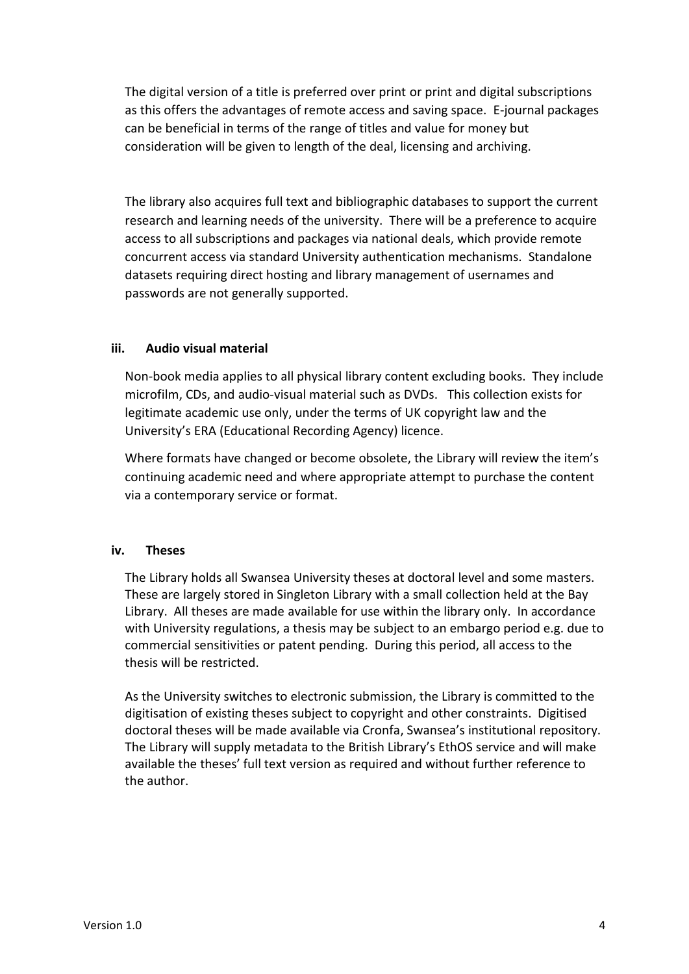The digital version of a title is preferred over print or print and digital subscriptions as this offers the advantages of remote access and saving space. E-journal packages can be beneficial in terms of the range of titles and value for money but consideration will be given to length of the deal, licensing and archiving.

The library also acquires full text and bibliographic databases to support the current research and learning needs of the university. There will be a preference to acquire access to all subscriptions and packages via national deals, which provide remote concurrent access via standard University authentication mechanisms. Standalone datasets requiring direct hosting and library management of usernames and passwords are not generally supported.

### **iii. Audio visual material**

Non-book media applies to all physical library content excluding books. They include microfilm, CDs, and audio-visual material such as DVDs. This collection exists for legitimate academic use only, under the terms of UK copyright law and the University's ERA (Educational Recording Agency) licence.

Where formats have changed or become obsolete, the Library will review the item's continuing academic need and where appropriate attempt to purchase the content via a contemporary service or format.

# **iv. Theses**

The Library holds all Swansea University theses at doctoral level and some masters. These are largely stored in Singleton Library with a small collection held at the Bay Library. All theses are made available for use within the library only. In accordance with University regulations, a thesis may be subject to an embargo period e.g. due to commercial sensitivities or patent pending. During this period, all access to the thesis will be restricted.

As the University switches to electronic submission, the Library is committed to the digitisation of existing theses subject to copyright and other constraints. Digitised doctoral theses will be made available via Cronfa, Swansea's institutional repository. The Library will supply metadata to the British Library's EthOS service and will make available the theses' full text version as required and without further reference to the author.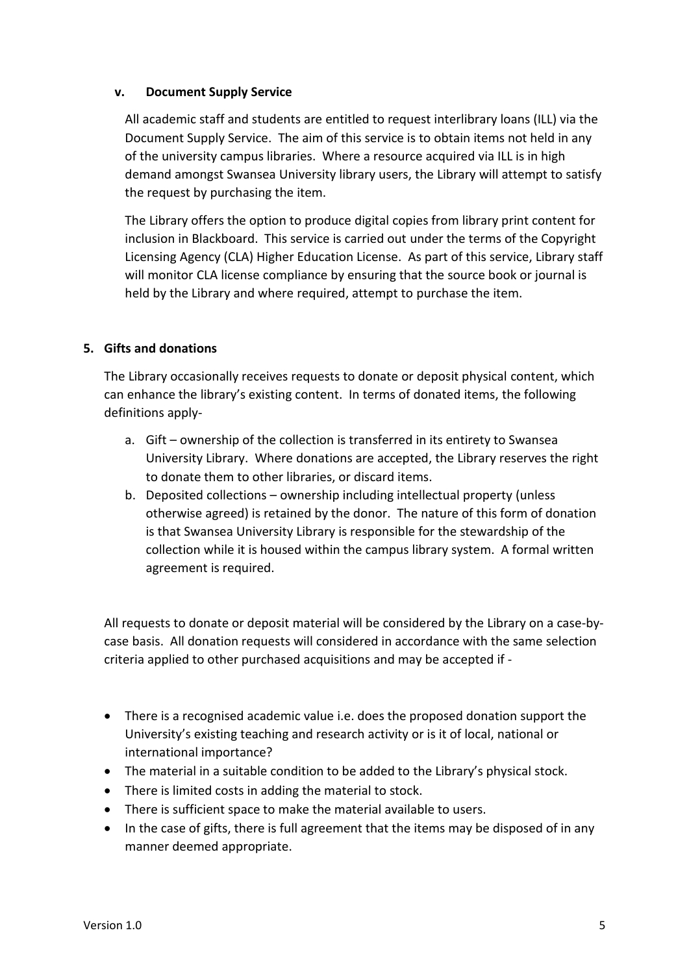### **v. Document Supply Service**

All academic staff and students are entitled to request interlibrary loans (ILL) via the Document Supply Service. The aim of this service is to obtain items not held in any of the university campus libraries. Where a resource acquired via ILL is in high demand amongst Swansea University library users, the Library will attempt to satisfy the request by purchasing the item.

The Library offers the option to produce digital copies from library print content for inclusion in Blackboard. This service is carried out under the terms of the Copyright Licensing Agency (CLA) Higher Education License. As part of this service, Library staff will monitor CLA license compliance by ensuring that the source book or journal is held by the Library and where required, attempt to purchase the item.

### **5. Gifts and donations**

The Library occasionally receives requests to donate or deposit physical content, which can enhance the library's existing content. In terms of donated items, the following definitions apply-

- a. Gift ownership of the collection is transferred in its entirety to Swansea University Library. Where donations are accepted, the Library reserves the right to donate them to other libraries, or discard items.
- b. Deposited collections ownership including intellectual property (unless otherwise agreed) is retained by the donor. The nature of this form of donation is that Swansea University Library is responsible for the stewardship of the collection while it is housed within the campus library system. A formal written agreement is required.

All requests to donate or deposit material will be considered by the Library on a case-bycase basis. All donation requests will considered in accordance with the same selection criteria applied to other purchased acquisitions and may be accepted if -

- There is a recognised academic value i.e. does the proposed donation support the University's existing teaching and research activity or is it of local, national or international importance?
- The material in a suitable condition to be added to the Library's physical stock.
- There is limited costs in adding the material to stock.
- There is sufficient space to make the material available to users.
- In the case of gifts, there is full agreement that the items may be disposed of in any manner deemed appropriate.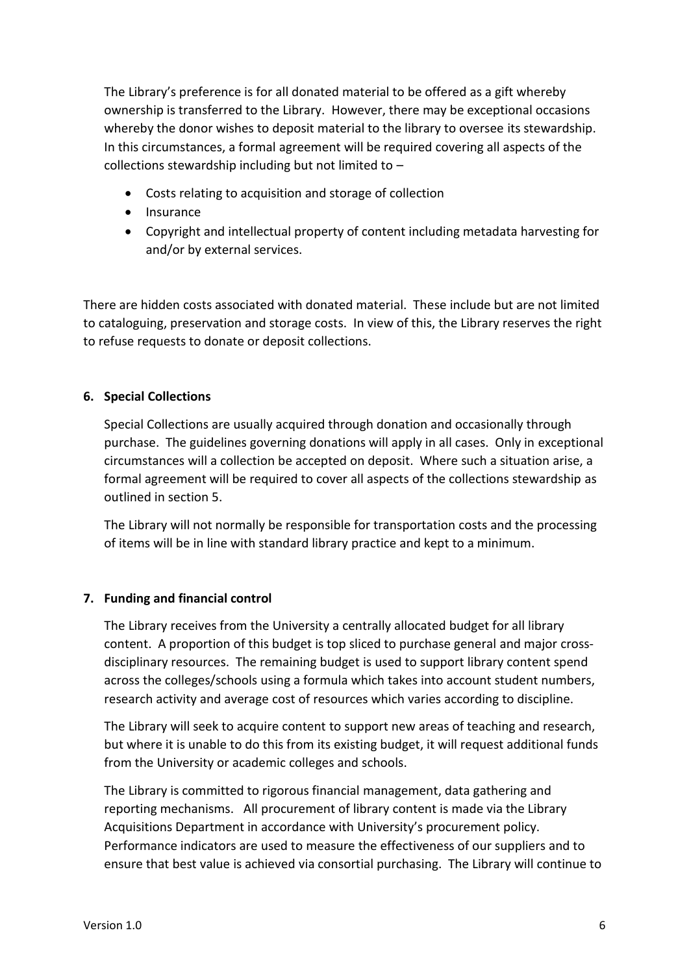The Library's preference is for all donated material to be offered as a gift whereby ownership is transferred to the Library. However, there may be exceptional occasions whereby the donor wishes to deposit material to the library to oversee its stewardship. In this circumstances, a formal agreement will be required covering all aspects of the collections stewardship including but not limited to –

- Costs relating to acquisition and storage of collection
- $\bullet$  Insurance
- Copyright and intellectual property of content including metadata harvesting for and/or by external services.

There are hidden costs associated with donated material. These include but are not limited to cataloguing, preservation and storage costs. In view of this, the Library reserves the right to refuse requests to donate or deposit collections.

# **6. Special Collections**

Special Collections are usually acquired through donation and occasionally through purchase. The guidelines governing donations will apply in all cases. Only in exceptional circumstances will a collection be accepted on deposit. Where such a situation arise, a formal agreement will be required to cover all aspects of the collections stewardship as outlined in section 5.

The Library will not normally be responsible for transportation costs and the processing of items will be in line with standard library practice and kept to a minimum.

# **7. Funding and financial control**

The Library receives from the University a centrally allocated budget for all library content. A proportion of this budget is top sliced to purchase general and major crossdisciplinary resources. The remaining budget is used to support library content spend across the colleges/schools using a formula which takes into account student numbers, research activity and average cost of resources which varies according to discipline.

The Library will seek to acquire content to support new areas of teaching and research, but where it is unable to do this from its existing budget, it will request additional funds from the University or academic colleges and schools.

The Library is committed to rigorous financial management, data gathering and reporting mechanisms. All procurement of library content is made via the Library Acquisitions Department in accordance with University's procurement policy. Performance indicators are used to measure the effectiveness of our suppliers and to ensure that best value is achieved via consortial purchasing. The Library will continue to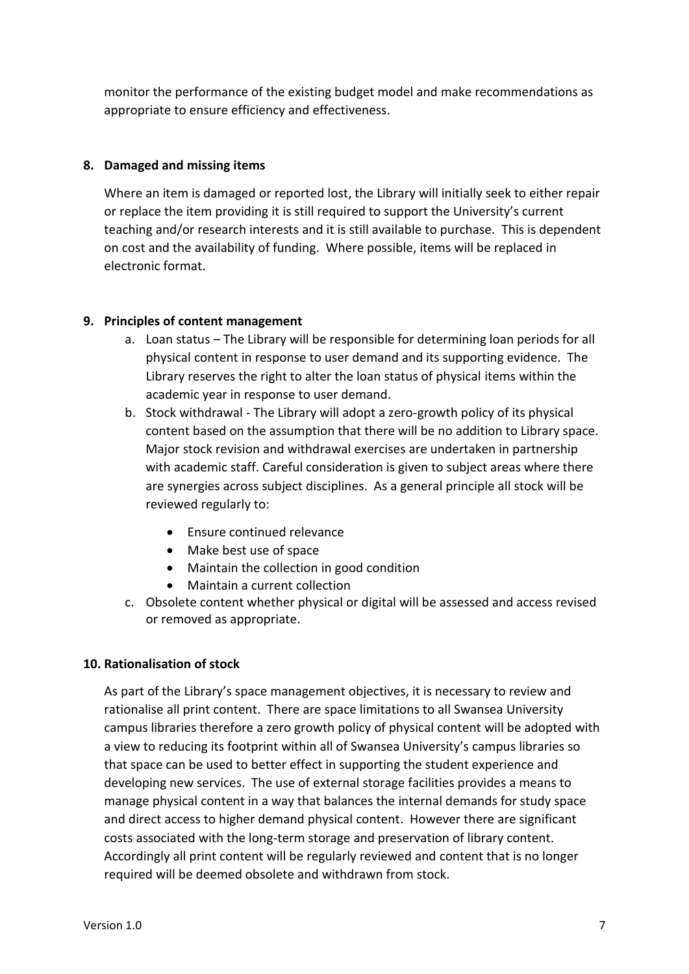monitor the performance of the existing budget model and make recommendations as appropriate to ensure efficiency and effectiveness.

### **8. Damaged and missing items**

Where an item is damaged or reported lost, the Library will initially seek to either repair or replace the item providing it is still required to support the University's current teaching and/or research interests and it is still available to purchase. This is dependent on cost and the availability of funding. Where possible, items will be replaced in electronic format.

### **9. Principles of content management**

- a. Loan status The Library will be responsible for determining loan periods for all physical content in response to user demand and its supporting evidence. The Library reserves the right to alter the loan status of physical items within the academic year in response to user demand.
- b. Stock withdrawal The Library will adopt a zero-growth policy of its physical content based on the assumption that there will be no addition to Library space. Major stock revision and withdrawal exercises are undertaken in partnership with academic staff. Careful consideration is given to subject areas where there are synergies across subject disciplines. As a general principle all stock will be reviewed regularly to:
	- Ensure continued relevance
	- Make best use of space
	- Maintain the collection in good condition
	- Maintain a current collection
- c. Obsolete content whether physical or digital will be assessed and access revised or removed as appropriate.

# **10. Rationalisation of stock**

As part of the Library's space management objectives, it is necessary to review and rationalise all print content. There are space limitations to all Swansea University campus libraries therefore a zero growth policy of physical content will be adopted with a view to reducing its footprint within all of Swansea University's campus libraries so that space can be used to better effect in supporting the student experience and developing new services. The use of external storage facilities provides a means to manage physical content in a way that balances the internal demands for study space and direct access to higher demand physical content. However there are significant costs associated with the long-term storage and preservation of library content. Accordingly all print content will be regularly reviewed and content that is no longer required will be deemed obsolete and withdrawn from stock.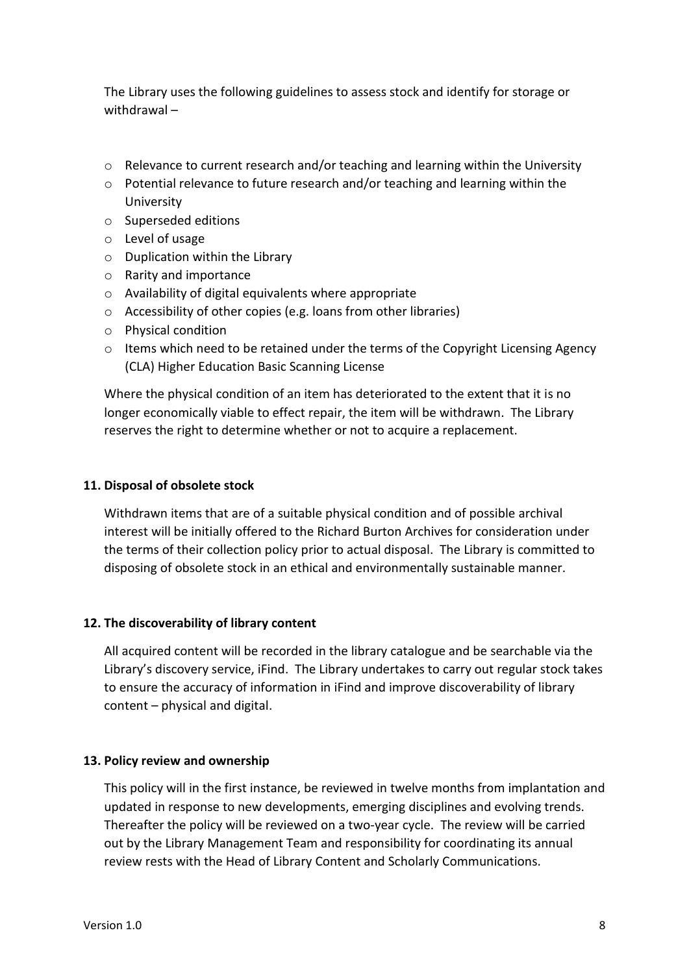The Library uses the following guidelines to assess stock and identify for storage or withdrawal –

- $\circ$  Relevance to current research and/or teaching and learning within the University
- o Potential relevance to future research and/or teaching and learning within the University
- o Superseded editions
- o Level of usage
- o Duplication within the Library
- o Rarity and importance
- o Availability of digital equivalents where appropriate
- o Accessibility of other copies (e.g. loans from other libraries)
- o Physical condition
- o Items which need to be retained under the terms of the Copyright Licensing Agency (CLA) Higher Education Basic Scanning License

Where the physical condition of an item has deteriorated to the extent that it is no longer economically viable to effect repair, the item will be withdrawn. The Library reserves the right to determine whether or not to acquire a replacement.

### **11. Disposal of obsolete stock**

Withdrawn items that are of a suitable physical condition and of possible archival interest will be initially offered to the Richard Burton Archives for consideration under the terms of their collection policy prior to actual disposal. The Library is committed to disposing of obsolete stock in an ethical and environmentally sustainable manner.

#### **12. The discoverability of library content**

All acquired content will be recorded in the library catalogue and be searchable via the Library's discovery service, iFind. The Library undertakes to carry out regular stock takes to ensure the accuracy of information in iFind and improve discoverability of library content – physical and digital.

#### **13. Policy review and ownership**

This policy will in the first instance, be reviewed in twelve months from implantation and updated in response to new developments, emerging disciplines and evolving trends. Thereafter the policy will be reviewed on a two-year cycle. The review will be carried out by the Library Management Team and responsibility for coordinating its annual review rests with the Head of Library Content and Scholarly Communications.